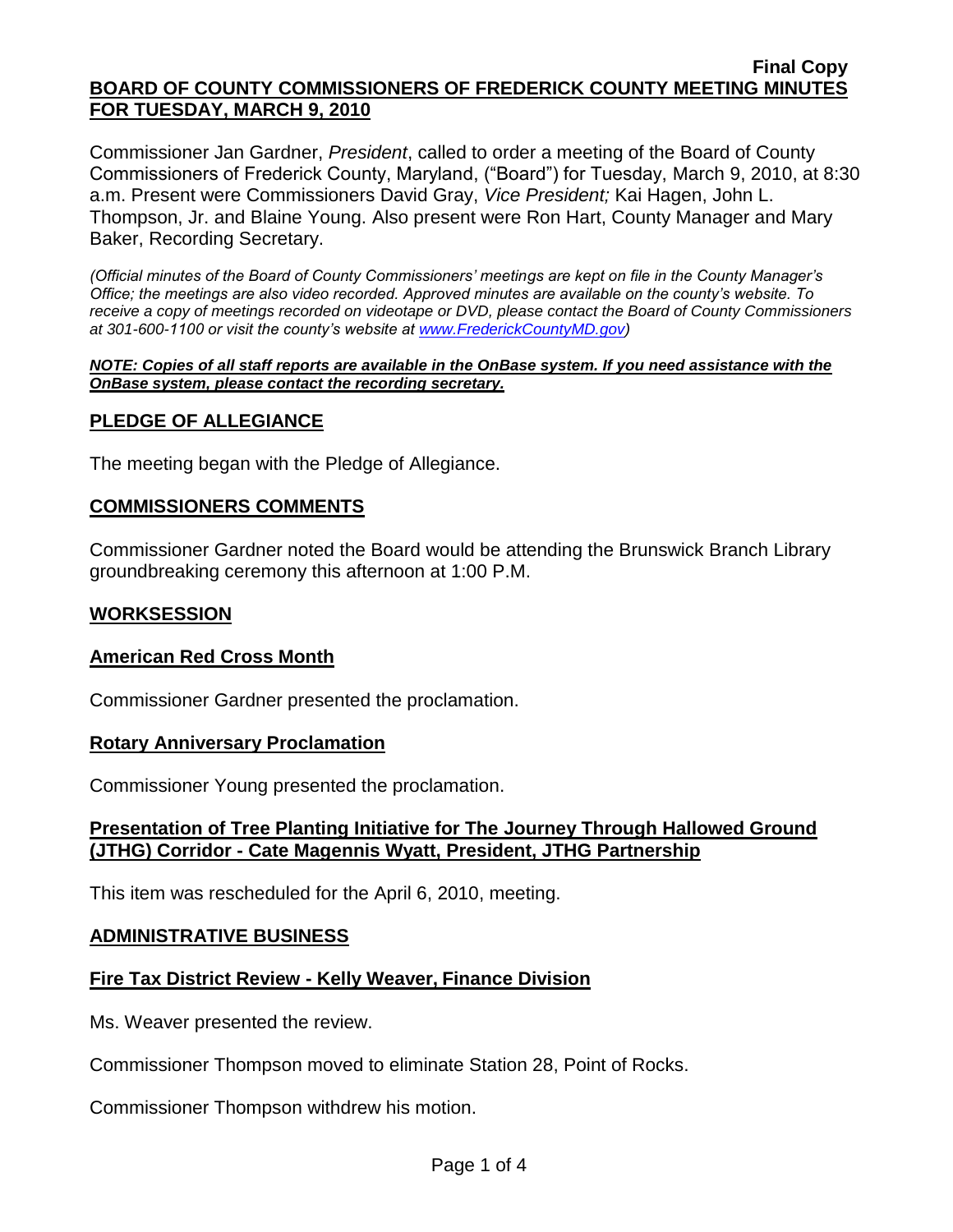#### **Final Copy BOARD OF COUNTY COMMISSIONERS OF FREDERICK COUNTY MEETING MINUTES FOR TUESDAY, MARCH 9, 2010**

Commissioner Jan Gardner, *President*, called to order a meeting of the Board of County Commissioners of Frederick County, Maryland, ("Board") for Tuesday, March 9, 2010, at 8:30 a.m. Present were Commissioners David Gray, *Vice President;* Kai Hagen, John L. Thompson, Jr. and Blaine Young. Also present were Ron Hart, County Manager and Mary Baker, Recording Secretary.

*(Official minutes of the Board of County Commissioners' meetings are kept on file in the County Manager's Office; the meetings are also video recorded. Approved minutes are available on the county's website. To receive a copy of meetings recorded on videotape or DVD, please contact the Board of County Commissioners at 301-600-1100 or visit the county's website at [www.FrederickCountyMD.gov\)](http://www.frederickcountymd.gov/)*

#### *NOTE: Copies of all staff reports are available in the OnBase system. If you need assistance with the OnBase system, please contact the recording secretary.*

# **PLEDGE OF ALLEGIANCE**

The meeting began with the Pledge of Allegiance.

# **COMMISSIONERS COMMENTS**

Commissioner Gardner noted the Board would be attending the Brunswick Branch Library groundbreaking ceremony this afternoon at 1:00 P.M.

#### **WORKSESSION**

#### **American Red Cross Month**

Commissioner Gardner presented the proclamation.

#### **Rotary Anniversary Proclamation**

Commissioner Young presented the proclamation.

# **Presentation of Tree Planting Initiative for The Journey Through Hallowed Ground (JTHG) Corridor - Cate Magennis Wyatt, President, JTHG Partnership**

This item was rescheduled for the April 6, 2010, meeting.

# **ADMINISTRATIVE BUSINESS**

# **Fire Tax District Review - Kelly Weaver, Finance Division**

Ms. Weaver presented the review.

Commissioner Thompson moved to eliminate Station 28, Point of Rocks.

Commissioner Thompson withdrew his motion.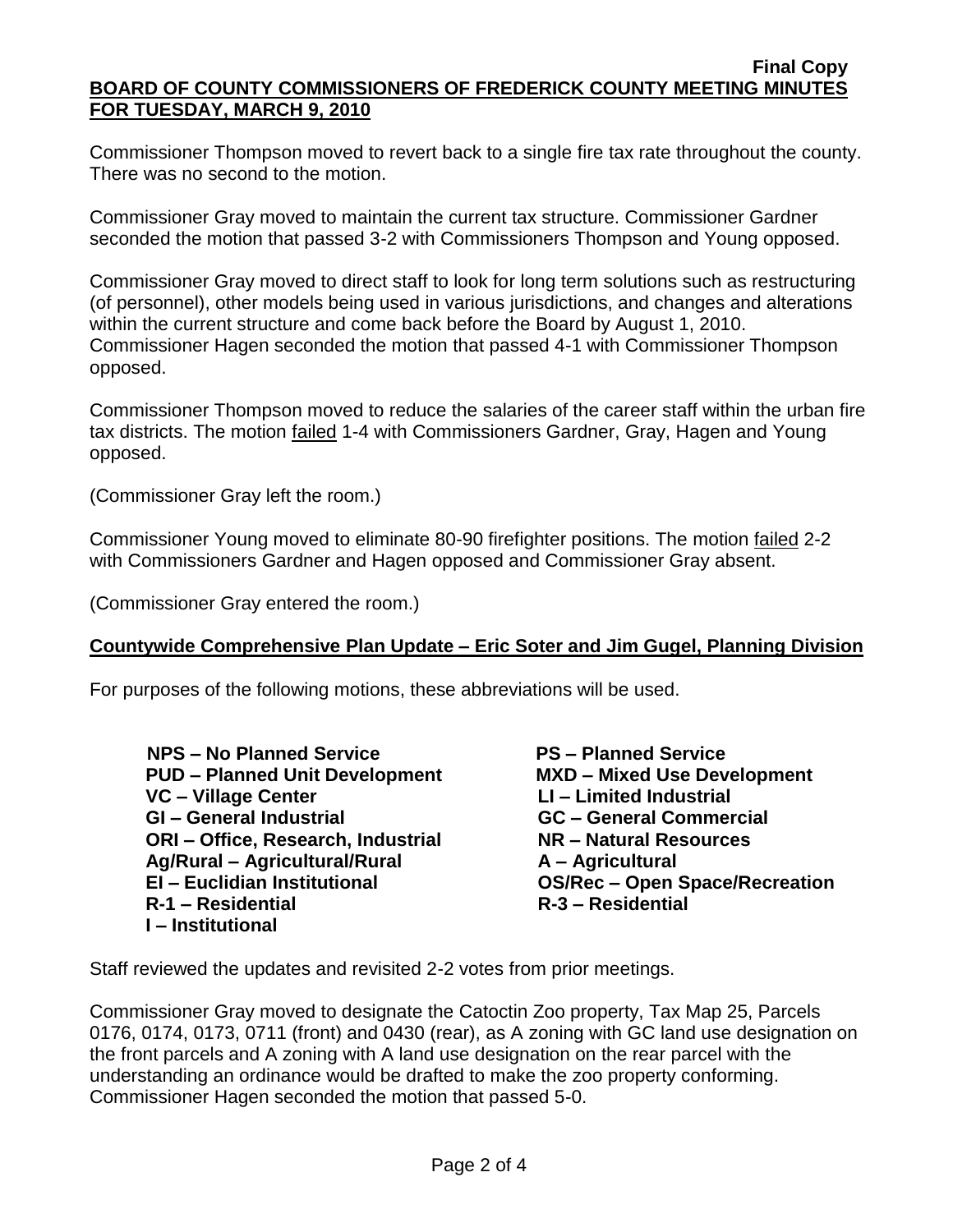Commissioner Thompson moved to revert back to a single fire tax rate throughout the county. There was no second to the motion.

Commissioner Gray moved to maintain the current tax structure. Commissioner Gardner seconded the motion that passed 3-2 with Commissioners Thompson and Young opposed.

Commissioner Gray moved to direct staff to look for long term solutions such as restructuring (of personnel), other models being used in various jurisdictions, and changes and alterations within the current structure and come back before the Board by August 1, 2010. Commissioner Hagen seconded the motion that passed 4-1 with Commissioner Thompson opposed.

Commissioner Thompson moved to reduce the salaries of the career staff within the urban fire tax districts. The motion failed 1-4 with Commissioners Gardner, Gray, Hagen and Young opposed.

(Commissioner Gray left the room.)

Commissioner Young moved to eliminate 80-90 firefighter positions. The motion failed 2-2 with Commissioners Gardner and Hagen opposed and Commissioner Gray absent.

(Commissioner Gray entered the room.)

# **Countywide Comprehensive Plan Update – Eric Soter and Jim Gugel, Planning Division**

For purposes of the following motions, these abbreviations will be used.

 **NPS – No Planned Service PS – Planned Service PUD – Planned Unit Development MXD – Mixed Use Development VC – Village Center LI – Limited Industrial GI – General Industrial GC – General Commercial ORI – Office, Research, Industrial NR – Natural Resources Ag/Rural – Agricultural/Rural A – Agricultural EI – Euclidian Institutional OS/Rec – Open Space/Recreation R-1 – Residential R-3 – Residential I – Institutional**

Staff reviewed the updates and revisited 2-2 votes from prior meetings.

Commissioner Gray moved to designate the Catoctin Zoo property, Tax Map 25, Parcels 0176, 0174, 0173, 0711 (front) and 0430 (rear), as A zoning with GC land use designation on the front parcels and A zoning with A land use designation on the rear parcel with the understanding an ordinance would be drafted to make the zoo property conforming. Commissioner Hagen seconded the motion that passed 5-0.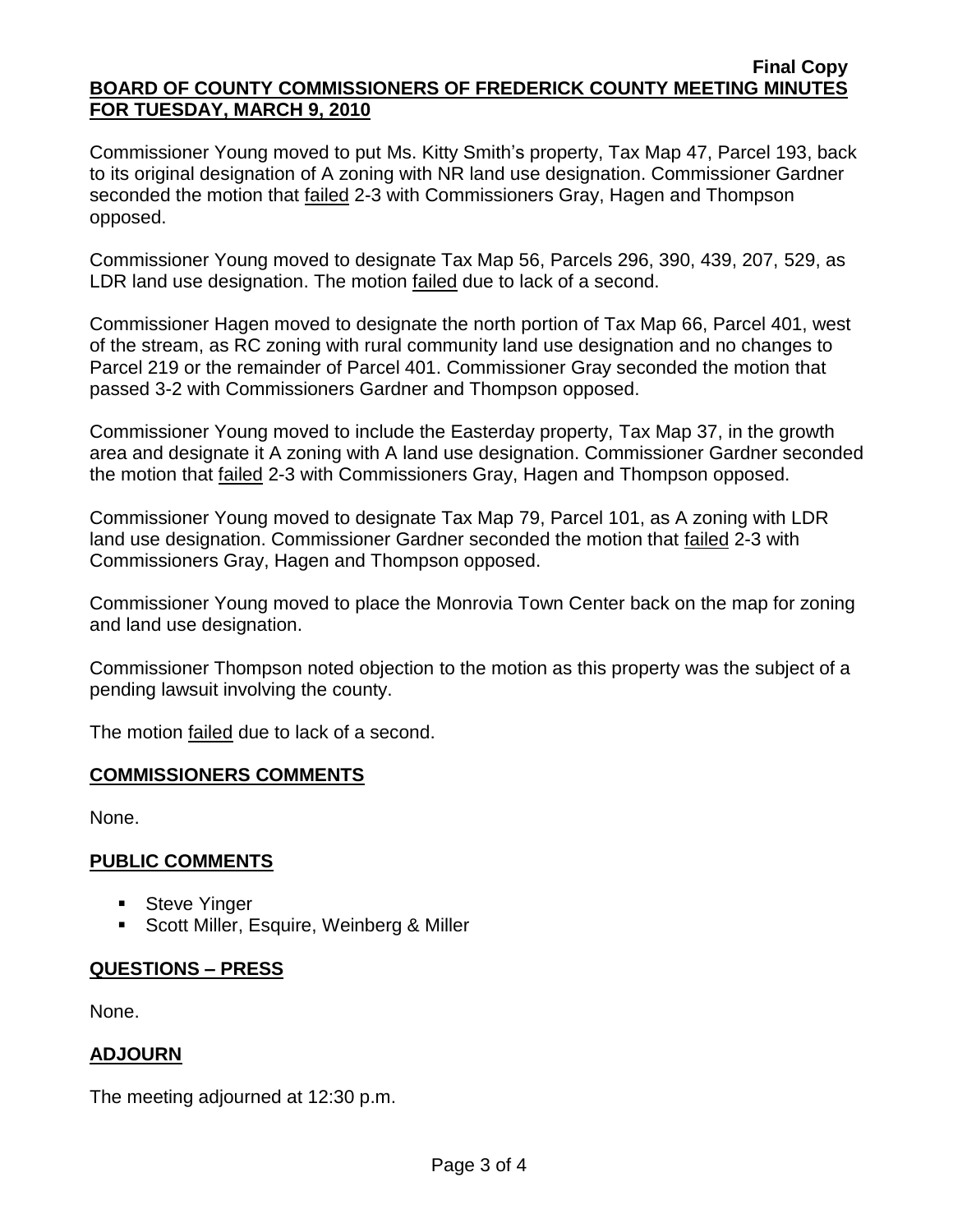#### **Final Copy BOARD OF COUNTY COMMISSIONERS OF FREDERICK COUNTY MEETING MINUTES FOR TUESDAY, MARCH 9, 2010**

Commissioner Young moved to put Ms. Kitty Smith's property, Tax Map 47, Parcel 193, back to its original designation of A zoning with NR land use designation. Commissioner Gardner seconded the motion that failed 2-3 with Commissioners Gray, Hagen and Thompson opposed.

Commissioner Young moved to designate Tax Map 56, Parcels 296, 390, 439, 207, 529, as LDR land use designation. The motion failed due to lack of a second.

Commissioner Hagen moved to designate the north portion of Tax Map 66, Parcel 401, west of the stream, as RC zoning with rural community land use designation and no changes to Parcel 219 or the remainder of Parcel 401. Commissioner Gray seconded the motion that passed 3-2 with Commissioners Gardner and Thompson opposed.

Commissioner Young moved to include the Easterday property, Tax Map 37, in the growth area and designate it A zoning with A land use designation. Commissioner Gardner seconded the motion that failed 2-3 with Commissioners Gray, Hagen and Thompson opposed.

Commissioner Young moved to designate Tax Map 79, Parcel 101, as A zoning with LDR land use designation. Commissioner Gardner seconded the motion that failed 2-3 with Commissioners Gray, Hagen and Thompson opposed.

Commissioner Young moved to place the Monrovia Town Center back on the map for zoning and land use designation.

Commissioner Thompson noted objection to the motion as this property was the subject of a pending lawsuit involving the county.

The motion failed due to lack of a second.

# **COMMISSIONERS COMMENTS**

None.

# **PUBLIC COMMENTS**

- **Steve Yinger**
- **Scott Miller, Esquire, Weinberg & Miller**

# **QUESTIONS – PRESS**

None.

# **ADJOURN**

The meeting adjourned at 12:30 p.m.